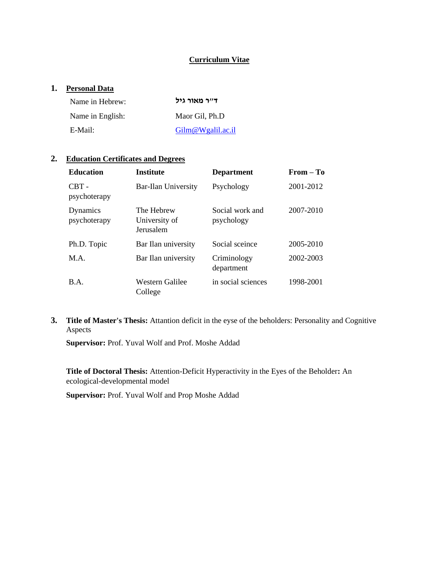## **Curriculum Vitae**

# **1. Personal Data**

| Name in Hebrew:  | ד״ר מאור גיל      |
|------------------|-------------------|
| Name in English: | Maor Gil, Ph.D    |
| E-Mail:          | Gilm@Wgalil.ac.il |

## **2. Education Certificates and Degrees**

| <b>Education</b>         | <b>Institute</b>                         | <b>Department</b>             | $From - To$ |
|--------------------------|------------------------------------------|-------------------------------|-------------|
| $CBT -$<br>psychoterapy  | <b>Bar-Ilan University</b>               | Psychology                    | 2001-2012   |
| Dynamics<br>psychoterapy | The Hebrew<br>University of<br>Jerusalem | Social work and<br>psychology | 2007-2010   |
| Ph.D. Topic              | Bar Ilan university                      | Social sceince                | 2005-2010   |
| M.A.                     | Bar Ilan university                      | Criminology<br>department     | 2002-2003   |
| B.A.                     | Western Galilee<br>College               | in social sciences            | 1998-2001   |

**3. Title of Master's Thesis:** Attantion deficit in the eyse of the beholders: Personality and Cognitive Aspects

**Supervisor:** Prof. Yuval Wolf and Prof. Moshe Addad

**Title of Doctoral Thesis:** Attention-Deficit Hyperactivity in the Eyes of the Beholder**:** An ecological-developmental model

**Supervisor:** Prof. Yuval Wolf and Prop Moshe Addad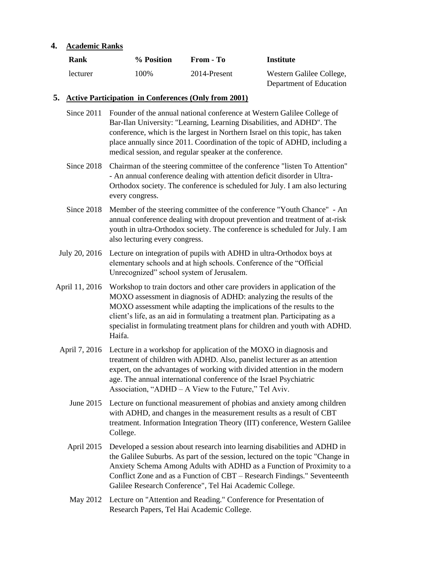### **4. Academic Ranks**

| Rank     | % Position | From - To    | Institute                |
|----------|------------|--------------|--------------------------|
| lecturer | 100%       | 2014-Present | Western Galilee College, |
|          |            |              | Department of Education  |

#### **5. Active Participation in Conferences (Only from 2001)**

- Since 2011 Founder of the annual national conference at Western Galilee College of Bar-Ilan University: "Learning, Learning Disabilities, and ADHD". The conference, which is the largest in Northern Israel on this topic, has taken place annually since 2011. Coordination of the topic of ADHD, including a medical session, and regular speaker at the conference.
- Since 2018 Chairman of the steering committee of the conference "listen To Attention" - An annual conference dealing with attention deficit disorder in Ultra-Orthodox society. The conference is scheduled for July. I am also lecturing every congress.
- Since 2018 Member of the steering committee of the conference "Youth Chance" An annual conference dealing with dropout prevention and treatment of at-risk youth in ultra-Orthodox society. The conference is scheduled for July. I am also lecturing every congress.
- July 20, 2016 Lecture on integration of pupils with ADHD in ultra-Orthodox boys at elementary schools and at high schools. Conference of the "Official Unrecognized" school system of Jerusalem.
- April 11, 2016 Workshop to train doctors and other care providers in application of the MOXO assessment in diagnosis of ADHD: analyzing the results of the MOXO assessment while adapting the implications of the results to the client's life, as an aid in formulating a treatment plan. Participating as a specialist in formulating treatment plans for children and youth with ADHD. Haifa.
- April 7, 2016 Lecture in a workshop for application of the MOXO in diagnosis and treatment of children with ADHD. Also, panelist lecturer as an attention expert, on the advantages of working with divided attention in the modern age. The annual international conference of the Israel Psychiatric Association, "ADHD – A View to the Future," Tel Aviv.
	- June 2015 Lecture on functional measurement of phobias and anxiety among children with ADHD, and changes in the measurement results as a result of CBT treatment. Information Integration Theory (IIT) conference, Western Galilee College.
	- April 2015 Developed a session about research into learning disabilities and ADHD in the Galilee Suburbs. As part of the session, lectured on the topic "Change in Anxiety Schema Among Adults with ADHD as a Function of Proximity to a Conflict Zone and as a Function of CBT – Research Findings." Seventeenth Galilee Research Conference", Tel Hai Academic College.
	- May 2012 Lecture on "Attention and Reading." Conference for Presentation of Research Papers, Tel Hai Academic College.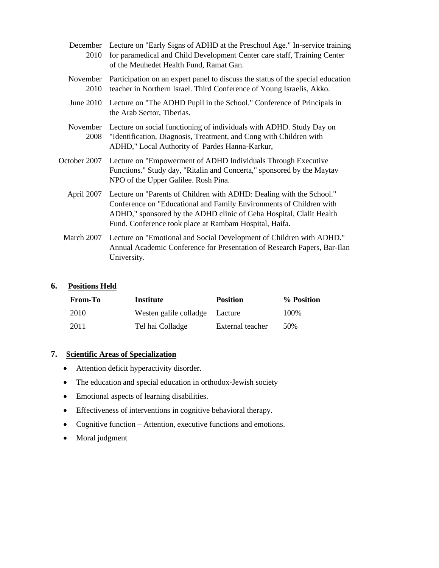| 2010             | December Lecture on "Early Signs of ADHD at the Preschool Age." In-service training<br>for paramedical and Child Development Center care staff, Training Center<br>of the Meuhedet Health Fund, Ramat Gan.                                                                   |
|------------------|------------------------------------------------------------------------------------------------------------------------------------------------------------------------------------------------------------------------------------------------------------------------------|
| November<br>2010 | Participation on an expert panel to discuss the status of the special education<br>teacher in Northern Israel. Third Conference of Young Israelis, Akko.                                                                                                                     |
| June $2010$      | Lecture on "The ADHD Pupil in the School." Conference of Principals in<br>the Arab Sector, Tiberias.                                                                                                                                                                         |
| November<br>2008 | Lecture on social functioning of individuals with ADHD. Study Day on<br>"Identification, Diagnosis, Treatment, and Cong with Children with<br>ADHD," Local Authority of Pardes Hanna-Karkur,                                                                                 |
| October 2007     | Lecture on "Empowerment of ADHD Individuals Through Executive<br>Functions." Study day, "Ritalin and Concerta," sponsored by the Maytav<br>NPO of the Upper Galilee. Rosh Pina.                                                                                              |
| April 2007       | Lecture on "Parents of Children with ADHD: Dealing with the School."<br>Conference on "Educational and Family Environments of Children with<br>ADHD," sponsored by the ADHD clinic of Geha Hospital, Clalit Health<br>Fund. Conference took place at Rambam Hospital, Haifa. |
| March 2007       | Lecture on "Emotional and Social Development of Children with ADHD."<br>Annual Academic Conference for Presentation of Research Papers, Bar-Ilan<br>University.                                                                                                              |

### **6. Positions Held**

| <b>From-To</b> | Institute                      | <b>Position</b>  | % Position |
|----------------|--------------------------------|------------------|------------|
| 2010           | Westen galile colladge Lacture |                  | 100%       |
| 2011           | Tel hai Colladge               | External teacher | 50%        |

# **7. Scientific Areas of Specialization**

- Attention deficit hyperactivity disorder.
- The education and special education in orthodox-Jewish society
- Emotional aspects of learning disabilities.
- Effectiveness of interventions in cognitive behavioral therapy.
- Cognitive function Attention, executive functions and emotions.
- Moral judgment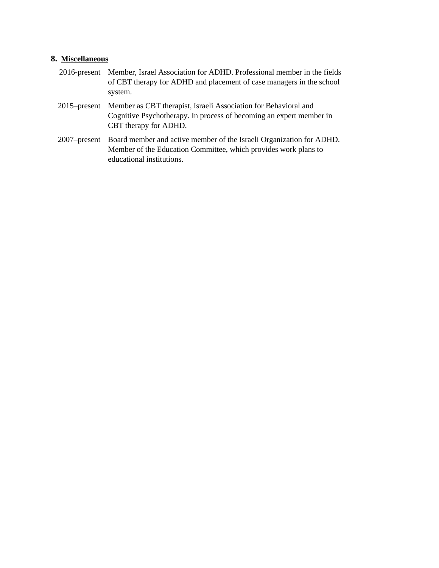### **8. Miscellaneous**

- 2016-present Member, Israel Association for ADHD. Professional member in the fields of CBT therapy for ADHD and placement of case managers in the school system.
- 2015–present Member as CBT therapist, Israeli Association for Behavioral and Cognitive Psychotherapy. In process of becoming an expert member in CBT therapy for ADHD.
- 2007–present Board member and active member of the Israeli Organization for ADHD. Member of the Education Committee, which provides work plans to educational institutions.